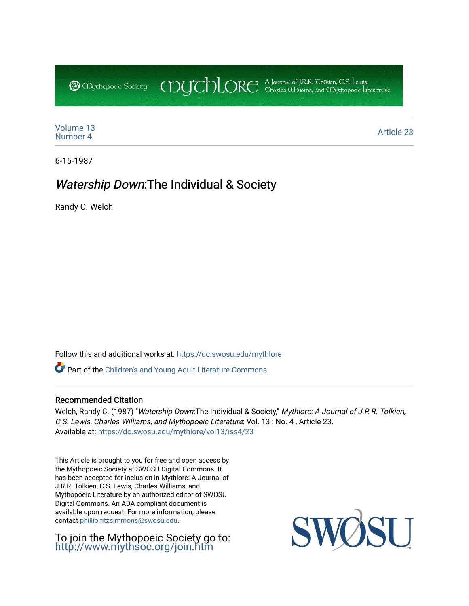CDUCHLORE A Journal of J.R.R. Coltien, C.S. Lewis,<br>CDUCHLORE Charles Williams, and Obyethopoeic Literacure **@** Mychopoeic Sociecy

[Volume 13](https://dc.swosu.edu/mythlore/vol13)<br>Number 4 [Number 4](https://dc.swosu.edu/mythlore/vol13/iss4) Article 23<br>Number 4

6-15-1987

## Watership Down:The Individual & Society

Randy C. Welch

Follow this and additional works at: [https://dc.swosu.edu/mythlore](https://dc.swosu.edu/mythlore?utm_source=dc.swosu.edu%2Fmythlore%2Fvol13%2Fiss4%2F23&utm_medium=PDF&utm_campaign=PDFCoverPages) 

Part of the [Children's and Young Adult Literature Commons](http://network.bepress.com/hgg/discipline/1289?utm_source=dc.swosu.edu%2Fmythlore%2Fvol13%2Fiss4%2F23&utm_medium=PDF&utm_campaign=PDFCoverPages) 

## Recommended Citation

Welch, Randy C. (1987) "Watership Down: The Individual & Society," Mythlore: A Journal of J.R.R. Tolkien, C.S. Lewis, Charles Williams, and Mythopoeic Literature: Vol. 13 : No. 4 , Article 23. Available at: [https://dc.swosu.edu/mythlore/vol13/iss4/23](https://dc.swosu.edu/mythlore/vol13/iss4/23?utm_source=dc.swosu.edu%2Fmythlore%2Fvol13%2Fiss4%2F23&utm_medium=PDF&utm_campaign=PDFCoverPages)

This Article is brought to you for free and open access by the Mythopoeic Society at SWOSU Digital Commons. It has been accepted for inclusion in Mythlore: A Journal of J.R.R. Tolkien, C.S. Lewis, Charles Williams, and Mythopoeic Literature by an authorized editor of SWOSU Digital Commons. An ADA compliant document is available upon request. For more information, please contact [phillip.fitzsimmons@swosu.edu.](mailto:phillip.fitzsimmons@swosu.edu)

To join the Mythopoeic Society go to: <http://www.mythsoc.org/join.htm>

SWO **STT**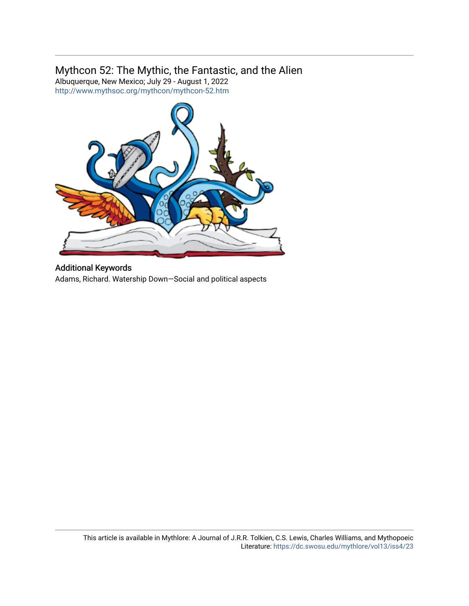## Mythcon 52: The Mythic, the Fantastic, and the Alien

Albuquerque, New Mexico; July 29 - August 1, 2022 <http://www.mythsoc.org/mythcon/mythcon-52.htm>



Additional Keywords Adams, Richard. Watership Down—Social and political aspects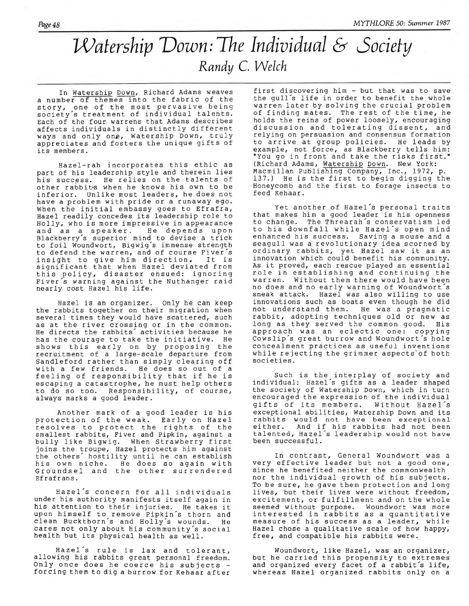## *Watership Down: The Individual & Society*  $Rand$ y C. Welch

**In Watership Down, Richard Adams weaves** a number of themes into the fabric of the **sto r y , one of the most p erv a siv e being so ciety 's treatment of individual talen ts.** Each of the four warrens that Adams describes affects individuals in distinctly different ways and only one, Watership Down, truly appreciates and fosters the unique gifts of its members.

Hazel-rah incorporates this ethic as part of his leadership style and therein lies his success. He relies on the talents of other rabbit when he knows his own to be inferior. Unlike most leaders, he does not have a problem with pride or a runaway ego. When the initial embassy goes to Efrafra, Hazel readily concedes its leadership role to Holly, who is more impressive in appearance and as a speaker. He depends upor Blackberry´s superior mind to devise a trick to foil Woundwort, Bigwig's immense strength to defend the warren, and of course Fiver's **in s ig h t to g iv e him d ir e c t io n . It is s i g n i f i c a n t th at when Hazel d e v ia te d from t h is p o lic y , d is a s t e r ensued: ign orin g Fiver's warning against the Nuthanger raid nearly cost Hazel his l i f e .**

Hazel is an organizer. Only he can keep the rabbits together on their migration when **several times they would have scattered, such** as at the river crossing or in the common. He directs the rabbits' activities because he has the courage to take the initiative. He shows this early on by proposing the recruitment of a large-scale departure from **Sandleford rather than simply clearing off** with a few friends. He does so out of a feeling of responsibility that if he is escaping a catastrophe, he must help others to do so too. Responsibility, of course, always marks a good leader.

Another mark of a good leader is his protection of the weak. Early on Hazel resolves to protect the rights of the smallest rabbits, Fiver and Pipkin, against a bully like Bigwig. When Strawberry first **jo in s the troupe, Hazel p r o t e c t s him a g a in st** the others´ hostility until he can establish his own niche. He does so again with Groundsel and the other surrendered **Efrafrans.**

Hazel<sup>'</sup>s concern for all individuals under his authority manifests itself again in his attention to their injuries. He takes it upon himself to remove Pipkin's thorn and clean Buckthorn's and Holly's wounds. He cares not only about his community's social health but its physical health as well.

Hazel's rule is lax and tolerant, **allowing his rabbits great personal freedom.** Only once does he coerce his subjects forcing them to dig a burrow for Kehaar after

first discovering him - but that was to save the gull's life in order to benefit the whole warren later by solving the crucial problem of finding mates. The rest of the time, he holds the reins of power loosely, encouraging discussion and tolerating dissent, and **r e ly in g on persuasion and consensus formation** to arrive at group policies. He leads by example, not force, as Blackberry tells him: "You go in front and take the risks first.' **(Richard Adams, Watership Down. New York:** Macmillan Publishing Company, Inc., 1972, p. 137.) He is the first to begin digging the Honeycomb and the first to forage insects to **feed Kehaar.**

Yet another of Hazel's personal traits that makes him a good leader is his openness to change. The Threarah's conservatism led **to h is d ow n fall w h ile H azel's open mind** enhanced his success. Saving a mouse and a seagull was a revolutionary idea scorned by **ord inary r a b b it s , y e t Hazel saw i t as an** innovation which could benefit his community. As it proved, each rescue played an essential role in establishing and continuing the **warren. Without them there would have been no does and no e a r ly warning o f Woundwort's** sneak attack. Hazel was also willing to use **innovations such as boats even though he did** not understand them. He was a pragmatic rabbit, adopting techniques old or new as long as they served the common good. His approach was an eclectic one: copying Cowslip's great burrow and Woundwort's hole concealment practices as useful inventions while rejecting the grimmer aspects' of both societies.

Such is the interplay of society and **i n d i v i d u a l : Hazel's g i f t s as a l ea d er shaped** the society of Watership Down, which in turn **encouraged the expression of the individual** gifts of its members. exceptional abilities, Watership Down and its **rabbits would not have been exceptional** either. And if his rabbits had not been **talen ted, Hazel's leadership would not have been successful.**

In contrast, General Woundwort was a very effective leader but not a good one, **since he benefited neither the commonwealth** nor the individual growth of his subjects. To be sure, he gave them protection and long lives, but their lives were without freedom, excitement, or fulfillment and on the whole seemed without purpose. Woundwort was more interested in rabbits as a quantitative measure of his success as a leader, while Hazel chose a qualitative scale of how happy, free, and compatible his rabbits were.

**Woundwort, l i k e Hazel, was an o rg a n izer ,** but he carried this propensity to extremes and organized every facet of a rabbit's life, whereas Hazel organized rabbits only on a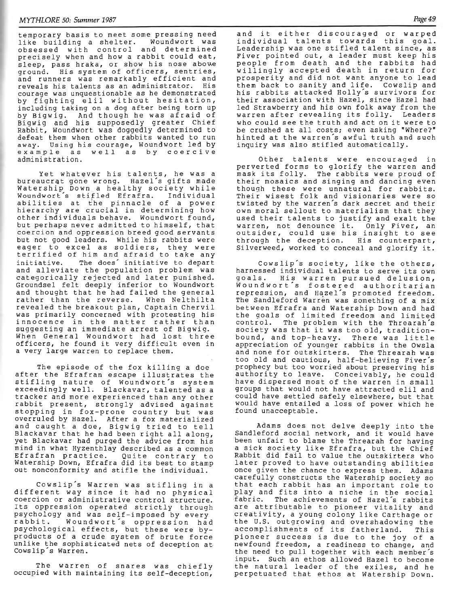**temporary basis to meet some pressing need** like building a shelter. **ob sessed w ith c o n tr o l and determ ined** precisely when and how a rabbit could eat, sleep, pass hraka, or show his nose abowe ground. His system of officers, sentries, and runners was remarkably efficient and reveals his talents as an administrator. His **courage was unquestionable as he demonstrated** by fighting elil without hesitation, including taking on a dog after being torn up by Bigwig. And though he was afraid of Bigwig and his supposedly greater Chief Rabbit, Woundwort was doggedly determined to defeat them when other rabbits wanted to run away. Using his courage, Woundwort led by **e x a m p l e as w e l l a s by c o e r c i v e administration.**

Yet whatever his talents, he was a bureaucrat gone wrong. Hazel's gifts made Watership Down a healthy society while Woundwort's stifled Efrafra. Individual abilities at the pinnacle of a power **h ie ra rc h y are c r u c i a l in d ete rm in in g how other in d iv id u a ls behave. Woundwort found, but perhaps never admitted to him self, that** coercion and oppression breed good servants **but not good leaders. While his rabbits were** eager to excel as soldiers, they were **t e r r i f i e d of him and a fr a id to take any** initiative. The does´ initiative to depart and alleviate the population problem was categorically rejected and later punished. Groundsel felt deeply inferior to Woundwort and thought that he had failed the general rather than the reverse. When Nelthilta **revealed the breakout plan, Captain Chervil** was primarily concerned with protesting his innocence in the matter rather than suggesting an immediate arrest of Bigwig. When General Woundwort had lost three officers, he found it very difficult even in a very large warren to replace them.

The episode of the fox killing a doe after the Efrafran escape illustrates the **s t i f l i n g nature of Woundwort's system exceedingly w ell. Blackavar, talented as a** tracker and more experienced than any other **rabbit present, strongly advised against stop p in g in fox-p ron e country but was** overruled by Hazel. After a fox materialized and caught a doe, Bigwig tried to tell Blackavar that he had been right all along, yet Blackavar had purged the advice from his mind in what Hyzenthlay described as a common Efrafran practice. Quite contrary to Watership Down, Efrafra did its best to stamp out nonconformity and stifle the individual.

Cowslip's Warren was stifling in a different way since it had no physical coercion or administrative control structure. Its oppression operated strictly through psychology and was self-imposed by every<br>rabbit. Woundwort´s oppression had Woundwort's oppression had psychological effects, but these were byproducts of a crude system of brute force **unlike the sophisticated nets of deception at Cowslip's Warren.**

The warren of snares was chiefly **occupied with maintaining its self-deception,** and it either discouraged or warped individual talents towards this goal. Leadership was one stifled talent since, as Fiver pointed out, a leader must keep his **p eop le from death and the ra b b its had w i l l i n g l y accep ted death in return for p r o s p e r ity and did not want anyone to lead** them back to sanity and life. Cowslip and **his rabbits attacked Holly's survivors for** their association with Hazel, since Hazel had led Strawberry and his own folk away from the **warren a fter revealing it s fo lly . Leaders** who could see the truth and act on it were to be crushed at all costs; even asking "Where?" **h in ted at the warren's awful tr u th and such** inquiry was also stifled automatically.

Other talents were encouraged in perverted forms to glorify the warren and mask its folly. The rabbits were proud of **t h e i r m osaics and sin g in g and dancing even though these were unnatural for rabbits.** Their wisest folk and visionaries were so twisted by the warren's dark secret and their own moral sellout to materialism that they used their talents to justify and exalt the warren, not denounce it. Only Fiver, an outsider, could use his insight to see **through the deception. His counterpart,** Silverweed, worked to conceal and glorify it.

Cowslip's society, like the others, harnessed individual talents to serve its own **g o a l s . His w arren p u rsu ed d e l u s i o n , Woundwort's fostered authoritarian r e p r e s s io n , and H azel's promoted freedom.** The Sandleford Warren was something of a mix **b e tw e e n E f r a f r a and W a t e r s h ip Down and had the g o a ls of lim it e d freedom and l i m it e d c o n tr o l. The problem w ith the Threarah's** society was that it was too old, traditionbound, and top-heavy. There was little **appreciation of younger rabbits in the Owsla** and none for outskirters. The Threarah was too old and cautious, half-believing Fiver's **prophecy but too worried about preserving his au th ority to leave. Conceivably, he could** have dispersed most of the warren in small groups that would not have attracted elil and **could have settled safely elsewhere, but that** would have entailed a loss of power which he **found unacceptable.**

Adams does not delve deeply into the Sandleford social network, and it would have **been unfair to blame the Threarah for having a** sick society like Efrafra, but the Chief Rabbit did fail to value the outskirters who later proved to have outstanding abilities once given the chance to express them. Adams **carefully constructs the Watership society so** that each rabbit has an important role to play and fits into a niche in the social<br>fabric. The achievements of Hazel's rabbits The achievements of Hazel's rabbits are attributable to pioneer vitality and creativity, a young colony like Carthage or the U.S. outgrowing and overshadowing the accomplishments of its fatherland. This **p ion eer su c c e ss is due to the joy of a**  $n$ ewfound freedom, a readiness to change, and the need to pull together with each member's **input. Such an ethos allowed Hazel to become** the natural leader of the exiles, and he perpetuated that ethos at Watership Down.